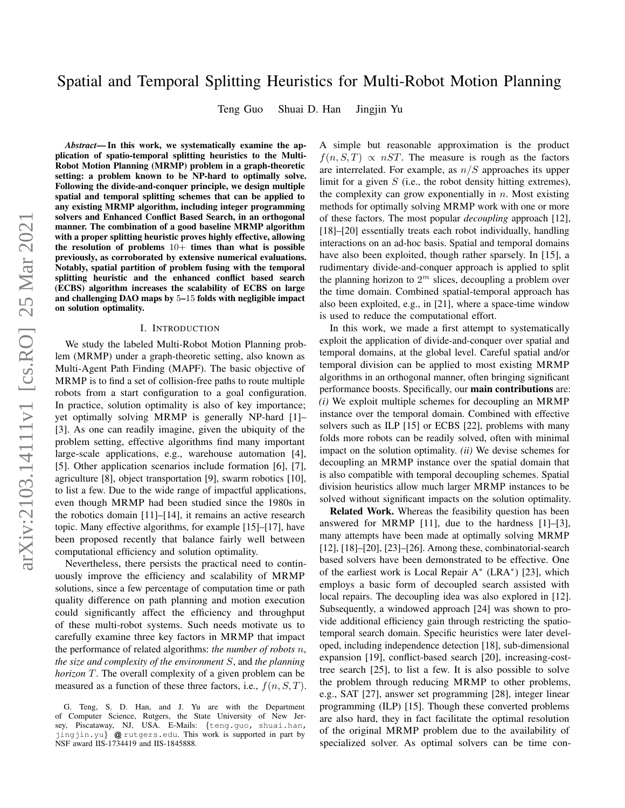# Spatial and Temporal Splitting Heuristics for Multi-Robot Motion Planning

Teng Guo Shuai D. Han Jingjin Yu

*Abstract*— In this work, we systematically examine the application of spatio-temporal splitting heuristics to the Multi-Robot Motion Planning (MRMP) problem in a graph-theoretic setting: a problem known to be NP-hard to optimally solve. Following the divide-and-conquer principle, we design multiple spatial and temporal splitting schemes that can be applied to any existing MRMP algorithm, including integer programming solvers and Enhanced Conflict Based Search, in an orthogonal manner. The combination of a good baseline MRMP algorithm with a proper splitting heuristic proves highly effective, allowing the resolution of problems  $10+$  times than what is possible previously, as corroborated by extensive numerical evaluations. Notably, spatial partition of problem fusing with the temporal splitting heuristic and the enhanced conflict based search (ECBS) algorithm increases the scalability of ECBS on large and challenging DAO maps by 5–15 folds with negligible impact on solution optimality.

### I. INTRODUCTION

We study the labeled Multi-Robot Motion Planning problem (MRMP) under a graph-theoretic setting, also known as Multi-Agent Path Finding (MAPF). The basic objective of MRMP is to find a set of collision-free paths to route multiple robots from a start configuration to a goal configuration. In practice, solution optimality is also of key importance; yet optimally solving MRMP is generally NP-hard [1]– [3]. As one can readily imagine, given the ubiquity of the problem setting, effective algorithms find many important large-scale applications, e.g., warehouse automation [4], [5]. Other application scenarios include formation [6], [7], agriculture [8], object transportation [9], swarm robotics [10], to list a few. Due to the wide range of impactful applications, even though MRMP had been studied since the 1980s in the robotics domain [11]–[14], it remains an active research topic. Many effective algorithms, for example [15]–[17], have been proposed recently that balance fairly well between computational efficiency and solution optimality.

Nevertheless, there persists the practical need to continuously improve the efficiency and scalability of MRMP solutions, since a few percentage of computation time or path quality difference on path planning and motion execution could significantly affect the efficiency and throughput of these multi-robot systems. Such needs motivate us to carefully examine three key factors in MRMP that impact the performance of related algorithms: *the number of robots* n, *the size and complexity of the environment* S, and *the planning horizon* T. The overall complexity of a given problem can be measured as a function of these three factors, i.e.,  $f(n, S, T)$ . A simple but reasonable approximation is the product  $f(n, S, T) \propto nST$ . The measure is rough as the factors are interrelated. For example, as  $n/S$  approaches its upper limit for a given  $S$  (i.e., the robot density hitting extremes), the complexity can grow exponentially in  $n$ . Most existing methods for optimally solving MRMP work with one or more of these factors. The most popular *decoupling* approach [12], [18]–[20] essentially treats each robot individually, handling interactions on an ad-hoc basis. Spatial and temporal domains have also been exploited, though rather sparsely. In [15], a rudimentary divide-and-conquer approach is applied to split the planning horizon to  $2<sup>m</sup>$  slices, decoupling a problem over the time domain. Combined spatial-temporal approach has also been exploited, e.g., in [21], where a space-time window is used to reduce the computational effort.

In this work, we made a first attempt to systematically exploit the application of divide-and-conquer over spatial and temporal domains, at the global level. Careful spatial and/or temporal division can be applied to most existing MRMP algorithms in an orthogonal manner, often bringing significant performance boosts. Specifically, our main contributions are: *(i)* We exploit multiple schemes for decoupling an MRMP instance over the temporal domain. Combined with effective solvers such as ILP [15] or ECBS [22], problems with many folds more robots can be readily solved, often with minimal impact on the solution optimality. *(ii)* We devise schemes for decoupling an MRMP instance over the spatial domain that is also compatible with temporal decoupling schemes. Spatial division heuristics allow much larger MRMP instances to be solved without significant impacts on the solution optimality.

Related Work. Whereas the feasibility question has been answered for MRMP [11], due to the hardness [1]–[3], many attempts have been made at optimally solving MRMP [12], [18]–[20], [23]–[26]. Among these, combinatorial-search based solvers have been demonstrated to be effective. One of the earliest work is Local Repair A<sup>∗</sup> (LRA<sup>∗</sup> ) [23], which employs a basic form of decoupled search assisted with local repairs. The decoupling idea was also explored in [12]. Subsequently, a windowed approach [24] was shown to provide additional efficiency gain through restricting the spatiotemporal search domain. Specific heuristics were later developed, including independence detection [18], sub-dimensional expansion [19], conflict-based search [20], increasing-costtree search [25], to list a few. It is also possible to solve the problem through reducing MRMP to other problems, e.g., SAT [27], answer set programming [28], integer linear programming (ILP) [15]. Though these converted problems are also hard, they in fact facilitate the optimal resolution of the original MRMP problem due to the availability of specialized solver. As optimal solvers can be time con-

G. Teng, S. D. Han, and J. Yu are with the Department of Computer Science, Rutgers, the State University of New Jersey, Piscataway, NJ, USA. E-Mails: {teng.guo, shuai.han, jingjin.yu} @ rutgers.edu. This work is supported in part by NSF award IIS-1734419 and IIS-1845888.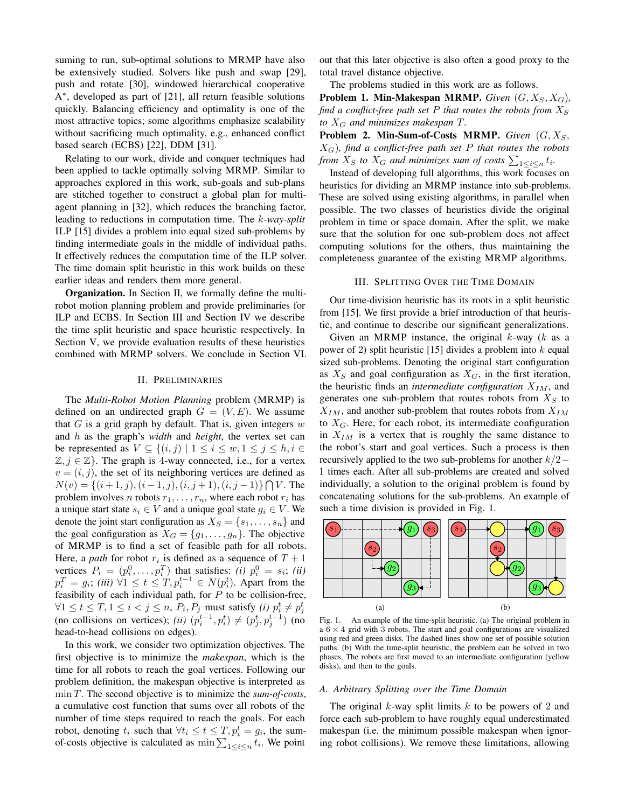suming to run, sub-optimal solutions to MRMP have also be extensively studied. Solvers like push and swap [29], push and rotate [30], windowed hierarchical cooperative A ∗ , developed as part of [21], all return feasible solutions quickly. Balancing efficiency and optimality is one of the most attractive topics; some algorithms emphasize scalability without sacrificing much optimality, e.g., enhanced conflict based search (ECBS) [22], DDM [31].

Relating to our work, divide and conquer techniques had been applied to tackle optimally solving MRMP. Similar to approaches explored in this work, sub-goals and sub-plans are stitched together to construct a global plan for multiagent planning in [32], which reduces the branching factor, leading to reductions in computation time. The k*-way-split* ILP [15] divides a problem into equal sized sub-problems by finding intermediate goals in the middle of individual paths. It effectively reduces the computation time of the ILP solver. The time domain split heuristic in this work builds on these earlier ideas and renders them more general.

Organization. In Section [II,](#page-1-0) we formally define the multirobot motion planning problem and provide preliminaries for ILP and ECBS. In Section [III](#page-1-1) and Section [IV](#page-3-0) we describe the time split heuristic and space heuristic respectively. In Section [V,](#page-4-0) we provide evaluation results of these heuristics combined with MRMP solvers. We conclude in Section [VI.](#page-5-0)

# II. PRELIMINARIES

<span id="page-1-0"></span>The *Multi-Robot Motion Planning* problem (MRMP) is defined on an undirected graph  $G = (V, E)$ . We assume that  $G$  is a grid graph by default. That is, given integers  $w$ and h as the graph's *width* and *height*, the vertex set can be represented as  $V \subseteq \{(i, j) \mid 1 \le i \le w, 1 \le j \le h, i \in$  $\mathbb{Z}, j \in \mathbb{Z}$ . The graph is 4-way connected, i.e., for a vertex  $v = (i, j)$ , the set of its neighboring vertices are defined as  $N(v) = \{(i+1,j), (i-1,j), (i,j+1), (i,j-1)\} \bigcap V$ . The problem involves n robots  $r_1, \ldots, r_n$ , where each robot  $r_i$  has a unique start state  $s_i \in V$  and a unique goal state  $g_i \in V$ . We denote the joint start configuration as  $X_S = \{s_1, \ldots, s_n\}$  and the goal configuration as  $X_G = \{g_1, \ldots, g_n\}$ . The objective of MRMP is to find a set of feasible path for all robots. Here, a *path* for robot  $r_i$  is defined as a sequence of  $T + 1$ vertices  $P_i = (p_i^0, \dots, p_i^T)$  that satisfies: *(i)*  $p_i^0 = s_i$ ; *(ii)*  $p_i^T = g_i$ ; *(iii)*  $\forall 1 \le t \le T, p_i^{t-1} \in N(p_i^t)$ . Apart from the feasibility of each individual path, for  $P$  to be collision-free,  $∀1 ≤ t ≤ T, 1 ≤ i < j ≤ n, P<sub>i</sub>, P<sub>j</sub> must satisfy (i)  $p<sub>i</sub><sup>t</sup> ≠ p<sub>j</sub><sup>t</sup>$  (no collisions on vertices); (ii)  $(p<sub>i</sub><sup>t-1</sup>, p<sub>i</sub><sup>t</sup>) ≠ (p<sub>j</sub><sup>t</sup>, p<sub>j</sub><sup>t-1</sup>)$  (no$ head-to-head collisions on edges).

In this work, we consider two optimization objectives. The first objective is to minimize the *makespan*, which is the time for all robots to reach the goal vertices. Following our problem definition, the makespan objective is interpreted as min T. The second objective is to minimize the *sum-of-costs*, a cumulative cost function that sums over all robots of the number of time steps required to reach the goals. For each robot, denoting  $t_i$  such that  $\forall t_i \leq t \leq T, p_i^t = g_i$ , the sumof-costs objective is calculated as  $\min \sum_{1 \leq i \leq n} t_i$ . We point

out that this later objective is also often a good proxy to the total travel distance objective.

The problems studied in this work are as follows.

**Problem 1. Min-Makespan MRMP.** *Given*  $(G, X_S, X_G)$ *, find a conflict-free path set* P *that routes the robots from*  $X_S$ *to*  $X_G$  *and minimizes makespan*  $T$ *.* 

Problem 2. Min-Sum-of-Costs MRMP. *Given*  $(G, X_S,$ XG)*, find a conflict-free path set* P *that routes the robots from*  $X_S$  *to*  $X_G$  *and minimizes sum of costs*  $\sum_{1 \le i \le n} t_i$ *.* 

Instead of developing full algorithms, this work focuses on heuristics for dividing an MRMP instance into sub-problems. These are solved using existing algorithms, in parallel when possible. The two classes of heuristics divide the original problem in time or space domain. After the split, we make sure that the solution for one sub-problem does not affect computing solutions for the others, thus maintaining the completeness guarantee of the existing MRMP algorithms.

### III. SPLITTING OVER THE TIME DOMAIN

<span id="page-1-1"></span>Our time-division heuristic has its roots in a split heuristic from [15]. We first provide a brief introduction of that heuristic, and continue to describe our significant generalizations.

Given an MRMP instance, the original  $k$ -way ( $k$  as a power of 2) split heuristic [15] divides a problem into  $k$  equal sized sub-problems. Denoting the original start configuration as  $X<sub>S</sub>$  and goal configuration as  $X<sub>G</sub>$ , in the first iteration, the heuristic finds an *intermediate configuration*  $X_{IM}$ , and generates one sub-problem that routes robots from  $X_S$  to  $X_{IM}$ , and another sub-problem that routes robots from  $X_{IM}$ to  $X_G$ . Here, for each robot, its intermediate configuration in  $X_{IM}$  is a vertex that is roughly the same distance to the robot's start and goal vertices. Such a process is then recursively applied to the two sub-problems for another  $k/2$ − 1 times each. After all sub-problems are created and solved individually, a solution to the original problem is found by concatenating solutions for the sub-problems. An example of such a time division is provided in Fig. [1.](#page-1-2)



<span id="page-1-2"></span>Fig. 1. An example of the time-split heuristic. (a) The original problem in a  $6 \times 4$  grid with 3 robots. The start and goal configurations are visualized using red and green disks. The dashed lines show one set of possible solution paths. (b) With the time-split heuristic, the problem can be solved in two phases. The robots are first moved to an intermediate configuration (yellow disks), and then to the goals.

# *A. Arbitrary Splitting over the Time Domain*

The original  $k$ -way split limits  $k$  to be powers of 2 and force each sub-problem to have roughly equal underestimated makespan (i.e. the minimum possible makespan when ignoring robot collisions). We remove these limitations, allowing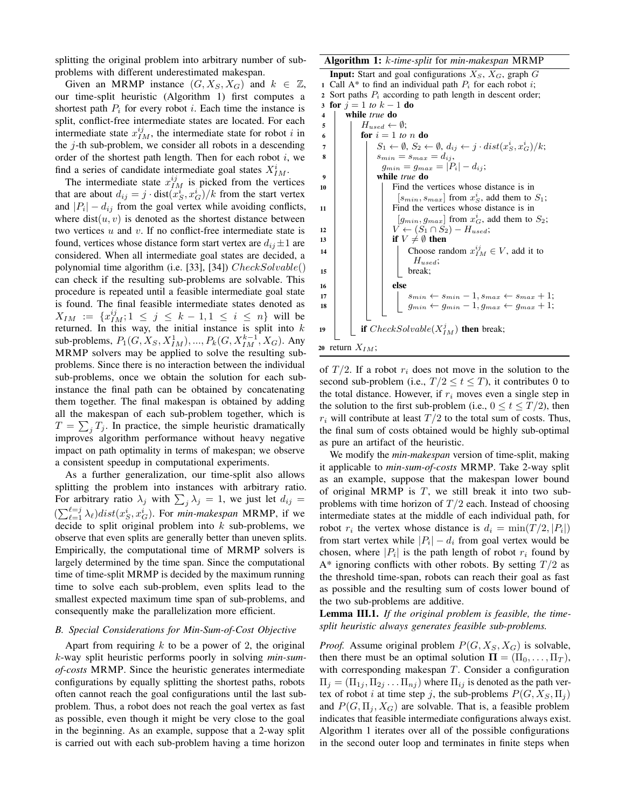splitting the original problem into arbitrary number of subproblems with different underestimated makespan.

Given an MRMP instance  $(G, X_S, X_G)$  and  $k \in \mathbb{Z}$ , our time-split heuristic (Algorithm [1\)](#page-2-0) first computes a shortest path  $P_i$  for every robot i. Each time the instance is split, conflict-free intermediate states are located. For each intermediate state  $x_{IM}^{ij}$ , the intermediate state for robot i in the  $j$ -th sub-problem, we consider all robots in a descending order of the shortest path length. Then for each robot  $i$ , we find a series of candidate intermediate goal states  $X_{IM}^i$ .

The intermediate state  $x_{IM}^{ij}$  is picked from the vertices that are about  $d_{ij} = j \cdot \text{dist}(x_S^i, x_G^i)/k$  from the start vertex and  $|P_i| - d_{ij}$  from the goal vertex while avoiding conflicts, where  $dist(u, v)$  is denoted as the shortest distance between two vertices  $u$  and  $v$ . If no conflict-free intermediate state is found, vertices whose distance form start vertex are  $d_{ij} \pm 1$  are considered. When all intermediate goal states are decided, a polynomial time algorithm (i.e. [33], [34]) CheckSolvable() can check if the resulting sub-problems are solvable. This procedure is repeated until a feasible intermediate goal state is found. The final feasible intermediate states denoted as  $X_{IM} := \{x_{IM}^{ij}; 1 \leq j \leq k-1, 1 \leq i \leq n\}$  will be returned. In this way, the initial instance is split into  $k$ sub-problems,  $P_1(G, X_S, X_{IM}^1), ..., P_k(G, X_{IM}^{k-1}, X_G)$ . Any MRMP solvers may be applied to solve the resulting subproblems. Since there is no interaction between the individual sub-problems, once we obtain the solution for each subinstance the final path can be obtained by concatenating them together. The final makespan is obtained by adding all the makespan of each sub-problem together, which is  $T = \sum_j T_j$ . In practice, the simple heuristic dramatically improves algorithm performance without heavy negative impact on path optimality in terms of makespan; we observe a consistent speedup in computational experiments.

As a further generalization, our time-split also allows splitting the problem into instances with arbitrary ratio. For arbitrary ratio  $\lambda_j$  with  $\sum_j \lambda_j = 1$ , we just let  $d_{ij} =$  $(\sum_{\ell=1}^{\ell=j} \lambda_{\ell}) dist(x_S^i, x_G^i)$ . For *min-makespan* MRMP, if we decide to split original problem into  $k$  sub-problems, we observe that even splits are generally better than uneven splits. Empirically, the computational time of MRMP solvers is largely determined by the time span. Since the computational time of time-split MRMP is decided by the maximum running time to solve each sub-problem, even splits lead to the smallest expected maximum time span of sub-problems, and consequently make the parallelization more efficient.

# *B. Special Considerations for Min-Sum-of-Cost Objective*

Apart from requiring  $k$  to be a power of 2, the original k-way split heuristic performs poorly in solving *min-sumof-costs* MRMP. Since the heuristic generates intermediate configurations by equally splitting the shortest paths, robots often cannot reach the goal configurations until the last subproblem. Thus, a robot does not reach the goal vertex as fast as possible, even though it might be very close to the goal in the beginning. As an example, suppose that a 2-way split is carried out with each sub-problem having a time horizon

### Algorithm 1: k*-time-split* for *min-makespan* MRMP

<span id="page-2-0"></span>**Input:** Start and goal configurations  $X_S$ ,  $X_G$ , graph G 1 Call A\* to find an individual path  $P_i$  for each robot i; 2 Sort paths  $P_i$  according to path length in descent order; 3 for  $j = 1$  *to*  $k - 1$  do <sup>4</sup> while *true* do  $\begin{array}{c|c} 5 & H_{used} \leftarrow \emptyset; \end{array}$ 6 **for**  $i = 1$  *to n* **do**  $\begin{array}{cc} \pi & | & | & S_1 \leftarrow \emptyset, S_2 \leftarrow \emptyset, d_{ij} \leftarrow j \cdot dist(x_S^i, x_G^i)/k; \end{array}$  $\begin{array}{c|c} \mathbf{8} & \mathbf{8} & \mathbf{8} \end{array}$   $\begin{array}{c} \mathbf{8} & \mathbf{8} \\ \mathbf{8} & \mathbf{8} \\ \mathbf{8} & \mathbf{8} \end{array}$   $\begin{array}{c} \mathbf{8} & \mathbf{8} \\ \mathbf{8} & \mathbf{8} \\ \mathbf{8} & \mathbf{8} \end{array}$  $g_{min} = g_{max} = |P_i| - d_{ij};$ <sup>9</sup> while *true* do <sup>10</sup> Find the vertices whose distance is in  $[s_{min}, s_{max}]$  from  $x_S^i$ , add them to  $S_1$ ; 11 | Find the vertices whose distance is in  $[g_{min}, g_{max}]$  from  $x_G^i$ , add them to  $S_2$ ; 12  $\vert \vert \vert \vert \vert V \leftarrow (S_1 \cap S_2) - H_{used};$ 13 if  $V \neq \emptyset$  then 14 | | | Choose random  $x_{IM}^{ij} \in V$ , add it to  $H_{used}$ ; <sup>15</sup> break; 16 | | | | | else 17 |  $s_{min} \leftarrow s_{min} - 1, s_{max} \leftarrow s_{max} + 1;$ 18  $g_{min} \leftarrow g_{min} - 1, g_{max} \leftarrow g_{max} + 1;$ 19 **if**  $CheckSolvable(X_{IM}^j)$  **then** break; 20 return  $X_{IM}$ ;

of  $T/2$ . If a robot  $r_i$  does not move in the solution to the second sub-problem (i.e.,  $T/2 \le t \le T$ ), it contributes 0 to the total distance. However, if  $r_i$  moves even a single step in the solution to the first sub-problem (i.e.,  $0 \le t \le T/2$ ), then  $r_i$  will contribute at least  $T/2$  to the total sum of costs. Thus, the final sum of costs obtained would be highly sub-optimal as pure an artifact of the heuristic.

We modify the *min-makespan* version of time-split, making it applicable to *min-sum-of-costs* MRMP. Take 2-way split as an example, suppose that the makespan lower bound of original MRMP is  $T$ , we still break it into two subproblems with time horizon of  $T/2$  each. Instead of choosing intermediate states at the middle of each individual path, for robot  $r_i$  the vertex whose distance is  $d_i = \min(T/2, |P_i|)$ from start vertex while  $|P_i| - d_i$  from goal vertex would be chosen, where  $|P_i|$  is the path length of robot  $r_i$  found by  $A^*$  ignoring conflicts with other robots. By setting  $T/2$  as the threshold time-span, robots can reach their goal as fast as possible and the resulting sum of costs lower bound of the two sub-problems are additive.

Lemma III.1. *If the original problem is feasible, the timesplit heuristic always generates feasible sub-problems.*

*Proof.* Assume original problem  $P(G, X_S, X_G)$  is solvable, then there must be an optimal solution  $\Pi = (\Pi_0, \dots, \Pi_T)$ , with corresponding makespan T. Consider a configuration  $\Pi_j = (\Pi_{1j}, \Pi_{2j} \dots \Pi_{nj})$  where  $\Pi_{ij}$  is denoted as the path vertex of robot i at time step j, the sub-problems  $P(G, X_S, \Pi_i)$ and  $P(G, \Pi_i, X_G)$  are solvable. That is, a feasible problem indicates that feasible intermediate configurations always exist. Algorithm [1](#page-2-0) iterates over all of the possible configurations in the second outer loop and terminates in finite steps when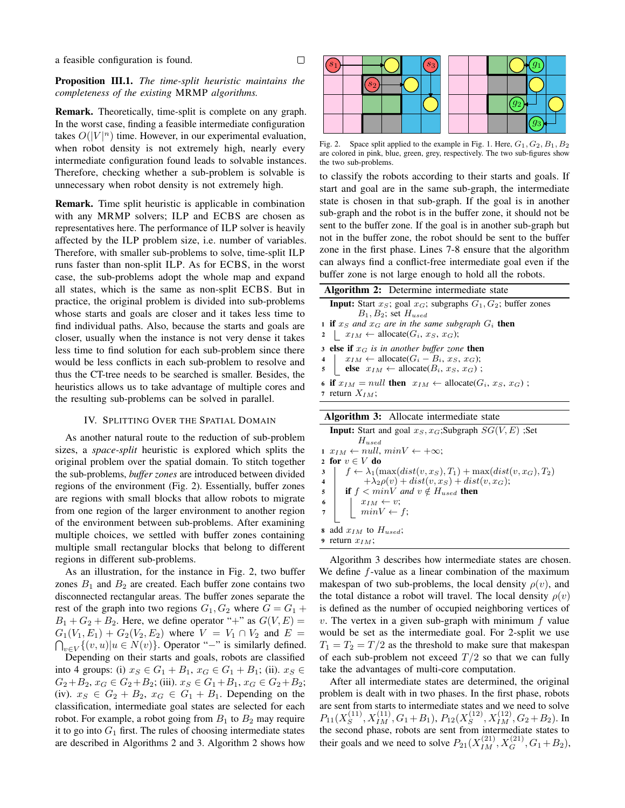# Proposition III.1. *The time-split heuristic maintains the completeness of the existing* MRMP *algorithms.*

 $\Box$ 

Remark. Theoretically, time-split is complete on any graph. In the worst case, finding a feasible intermediate configuration takes  $O(|V|^n)$  time. However, in our experimental evaluation, when robot density is not extremely high, nearly every intermediate configuration found leads to solvable instances. Therefore, checking whether a sub-problem is solvable is unnecessary when robot density is not extremely high.

Remark. Time split heuristic is applicable in combination with any MRMP solvers; ILP and ECBS are chosen as representatives here. The performance of ILP solver is heavily affected by the ILP problem size, i.e. number of variables. Therefore, with smaller sub-problems to solve, time-split ILP runs faster than non-split ILP. As for ECBS, in the worst case, the sub-problems adopt the whole map and expand all states, which is the same as non-split ECBS. But in practice, the original problem is divided into sub-problems whose starts and goals are closer and it takes less time to find individual paths. Also, because the starts and goals are closer, usually when the instance is not very dense it takes less time to find solution for each sub-problem since there would be less conflicts in each sub-problem to resolve and thus the CT-tree needs to be searched is smaller. Besides, the heuristics allows us to take advantage of multiple cores and the resulting sub-problems can be solved in parallel.

# IV. SPLITTING OVER THE SPATIAL DOMAIN

<span id="page-3-0"></span>As another natural route to the reduction of sub-problem sizes, a *space-split* heuristic is explored which splits the original problem over the spatial domain. To stitch together the sub-problems, *buffer zones* are introduced between divided regions of the environment (Fig. [2\)](#page-3-1). Essentially, buffer zones are regions with small blocks that allow robots to migrate from one region of the larger environment to another region of the environment between sub-problems. After examining multiple choices, we settled with buffer zones containing multiple small rectangular blocks that belong to different regions in different sub-problems.

As an illustration, for the instance in Fig. [2,](#page-3-1) two buffer zones  $B_1$  and  $B_2$  are created. Each buffer zone contains two disconnected rectangular areas. The buffer zones separate the rest of the graph into two regions  $G_1, G_2$  where  $G = G_1 +$  $B_1 + G_2 + B_2$ . Here, we define operator "+" as  $G(V, E)$  =  $G_1(V_1, E_1) + G_2(V_2, E_2)$  where  $V = V_1 \cap V_2$  and  $E =$  $\bigcap_{v \in V} \{ (v, u) | u \in N(v) \}.$  Operator "−" is similarly defined.

Depending on their starts and goals, robots are classified into 4 groups: (i)  $x_S \in G_1 + B_1$ ,  $x_G \in G_1 + B_1$ ; (ii).  $x_S \in$  $G_2+B_2$ ,  $x_G \in G_2+B_2$ ; (iii).  $x_S \in G_1+B_1$ ,  $x_G \in G_2+B_2$ ; (iv).  $x_S \in G_2 + B_2$ ,  $x_G \in G_1 + B_1$ . Depending on the classification, intermediate goal states are selected for each robot. For example, a robot going from  $B_1$  to  $B_2$  may require it to go into  $G_1$  first. The rules of choosing intermediate states are described in Algorithms [2](#page-3-2) and [3.](#page-3-3) Algorithm [2](#page-3-2) shows how



<span id="page-3-1"></span>Fig. 2. Space split applied to the example in Fig. [1.](#page-1-2) Here,  $G_1, G_2, B_1, B_2$ are colored in pink, blue, green, grey, respectively. The two sub-figures show the two sub-problems.

to classify the robots according to their starts and goals. If start and goal are in the same sub-graph, the intermediate state is chosen in that sub-graph. If the goal is in another sub-graph and the robot is in the buffer zone, it should not be sent to the buffer zone. If the goal is in another sub-graph but not in the buffer zone, the robot should be sent to the buffer zone in the first phase. Lines 7-8 ensure that the algorithm can always find a conflict-free intermediate goal even if the buffer zone is not large enough to hold all the robots.

<span id="page-3-2"></span>

| <b>Algorithm 2:</b> Determine intermediate state                             |
|------------------------------------------------------------------------------|
| <b>Input:</b> Start $x_S$ ; goal $x_G$ ; subgraphs $G_1, G_2$ ; buffer zones |
| $B_1, B_2$ ; set $H_{used}$                                                  |
| <b>1 if</b> $x_s$ and $x_d$ are in the same subgraph $G_i$ then              |
| 2 $x_{IM} \leftarrow \text{alloc}(G_i, x_S, x_G);$                           |
| 3 else if $x_G$ is in another buffer zone then                               |
| $x_{IM} \leftarrow \text{alloc}(G_i - B_i, x_S, x_G);$<br>$4\quad$           |
| 5 else $x_{IM} \leftarrow \text{alloc}(B_i, x_S, x_G);$                      |
| 6 if $x_{IM} = null$ then $x_{IM} \leftarrow \text{alloc}(G_i, x_S, x_G)$ ;  |
| 7 return $X_{IM}$ ;                                                          |
|                                                                              |
| <b>Algorithm 3:</b> Allocate intermediate state                              |
| <b>Input:</b> Start and goal $x_S, x_G$ ; Subgraph $SG(V, E)$ ; Set<br>TT    |

<span id="page-3-3"></span>Hused 1  $x_{IM} \leftarrow null$ ,  $minV \leftarrow +\infty$ ; 2 for  $v \in V$  do  $\mathfrak{z} \mid f \leftarrow \lambda_1(\max(dist(v, x_S), T_1) + \max(dist(v, x_G), T_2))$ 4  $+ \lambda_2 \rho(v) + dist(v, x_S) + dist(v, x_G);$ 5 **if**  $f < minV$  and  $v \notin H_{used}$  then 6  $x_{IM} \leftarrow v;$ 7 |  $minV \leftarrow f$ ; 8 add  $x_{IM}$  to  $H_{used}$ ; 9 return  $x_{IM}$ ;

Algorithm [3](#page-3-3) describes how intermediate states are chosen. We define  $f$ -value as a linear combination of the maximum makespan of two sub-problems, the local density  $\rho(v)$ , and the total distance a robot will travel. The local density  $\rho(v)$ is defined as the number of occupied neighboring vertices of v. The vertex in a given sub-graph with minimum  $f$  value would be set as the intermediate goal. For 2-split we use  $T_1 = T_2 = T/2$  as the threshold to make sure that makespan of each sub-problem not exceed  $T/2$  so that we can fully take the advantages of multi-core computation.

After all intermediate states are determined, the original problem is dealt with in two phases. In the first phase, robots are sent from starts to intermediate states and we need to solve  $P_{11}(X_{S}^{(11)}$  $S^{(11)}, X_{IM}^{(11)}, G_1 + B_1), P_{12}(X_S^{(12)})$  $S^{(12)}$ ,  $X_{IM}^{(12)}$ ,  $G_2 + B_2$ ). In the second phase, robots are sent from intermediate states to their goals and we need to solve  $P_{21}(X_{IM}^{(21)}, X_G^{(21)}, G_1 + B_2)$ ,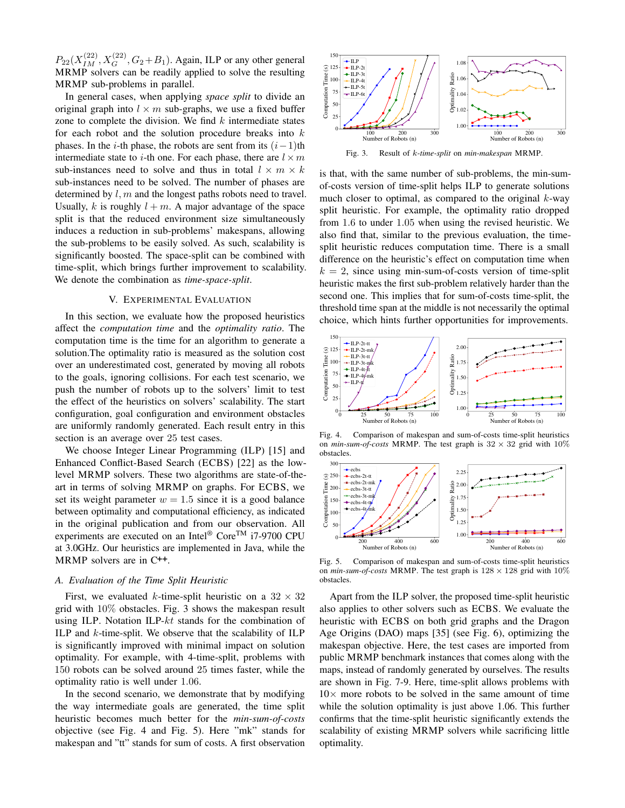$P_{22}(X_{IM}^{(22)}, X_G^{(22)}, G_2 + B_1)$ . Again, ILP or any other general MRMP solvers can be readily applied to solve the resulting MRMP sub-problems in parallel.

In general cases, when applying *space split* to divide an original graph into  $l \times m$  sub-graphs, we use a fixed buffer zone to complete the division. We find  $k$  intermediate states for each robot and the solution procedure breaks into  $k$ phases. In the *i*-th phase, the robots are sent from its  $(i-1)$ th intermediate state to *i*-th one. For each phase, there are  $l \times m$ sub-instances need to solve and thus in total  $l \times m \times k$ sub-instances need to be solved. The number of phases are determined by  $l, m$  and the longest paths robots need to travel. Usually, k is roughly  $l + m$ . A major advantage of the space split is that the reduced environment size simultaneously induces a reduction in sub-problems' makespans, allowing the sub-problems to be easily solved. As such, scalability is significantly boosted. The space-split can be combined with time-split, which brings further improvement to scalability. We denote the combination as *time-space-split*.

### V. EXPERIMENTAL EVALUATION

<span id="page-4-0"></span>In this section, we evaluate how the proposed heuristics affect the *computation time* and the *optimality ratio*. The computation time is the time for an algorithm to generate a solution.The optimality ratio is measured as the solution cost over an underestimated cost, generated by moving all robots to the goals, ignoring collisions. For each test scenario, we push the number of robots up to the solvers' limit to test the effect of the heuristics on solvers' scalability. The start configuration, goal configuration and environment obstacles are uniformly randomly generated. Each result entry in this section is an average over 25 test cases.

We choose Integer Linear Programming (ILP) [15] and Enhanced Conflict-Based Search (ECBS) [22] as the lowlevel MRMP solvers. These two algorithms are state-of-theart in terms of solving MRMP on graphs. For ECBS, we set its weight parameter  $w = 1.5$  since it is a good balance between optimality and computational efficiency, as indicated in the original publication and from our observation. All experiments are executed on an Intel® CoreTM i7-9700 CPU at 3.0GHz. Our heuristics are implemented in Java, while the MRMP solvers are in C++.

### *A. Evaluation of the Time Split Heuristic*

First, we evaluated k-time-split heuristic on a  $32 \times 32$ grid with 10% obstacles. Fig. [3](#page-4-1) shows the makespan result using ILP. Notation ILP- $kt$  stands for the combination of ILP and  $k$ -time-split. We observe that the scalability of ILP is significantly improved with minimal impact on solution optimality. For example, with 4-time-split, problems with 150 robots can be solved around 25 times faster, while the optimality ratio is well under 1.06.

In the second scenario, we demonstrate that by modifying the way intermediate goals are generated, the time split heuristic becomes much better for the *min-sum-of-costs* objective (see Fig. [4](#page-4-2) and Fig. [5\)](#page-4-3). Here "mk" stands for makespan and "tt" stands for sum of costs. A first observation



<span id="page-4-1"></span>Fig. 3. Result of k*-time-split* on *min-makespan* MRMP.

is that, with the same number of sub-problems, the min-sumof-costs version of time-split helps ILP to generate solutions much closer to optimal, as compared to the original  $k$ -way split heuristic. For example, the optimality ratio dropped from 1.6 to under 1.05 when using the revised heuristic. We also find that, similar to the previous evaluation, the timesplit heuristic reduces computation time. There is a small difference on the heuristic's effect on computation time when  $k = 2$ , since using min-sum-of-costs version of time-split heuristic makes the first sub-problem relatively harder than the second one. This implies that for sum-of-costs time-split, the threshold time span at the middle is not necessarily the optimal choice, which hints further opportunities for improvements.



<span id="page-4-2"></span>Fig. 4. Comparison of makespan and sum-of-costs time-split heuristics on  $min\text{-}sum\text{-}of\text{-}costs$  MRMP. The test graph is  $32 \times 32$  grid with  $10\%$ obstacles.



<span id="page-4-3"></span>Fig. 5. Comparison of makespan and sum-of-costs time-split heuristics on  $min\text{-}sum\text{-}of\text{-}costs$  MRMP. The test graph is  $128 \times 128$  grid with  $10\%$ obstacles.

Apart from the ILP solver, the proposed time-split heuristic also applies to other solvers such as ECBS. We evaluate the heuristic with ECBS on both grid graphs and the Dragon Age Origins (DAO) maps [35] (see Fig. [6\)](#page-5-1), optimizing the makespan objective. Here, the test cases are imported from public MRMP benchmark instances that comes along with the maps, instead of randomly generated by ourselves. The results are shown in Fig. [7](#page-5-2)[-9.](#page-5-3) Here, time-split allows problems with  $10\times$  more robots to be solved in the same amount of time while the solution optimality is just above 1.06. This further confirms that the time-split heuristic significantly extends the scalability of existing MRMP solvers while sacrificing little optimality.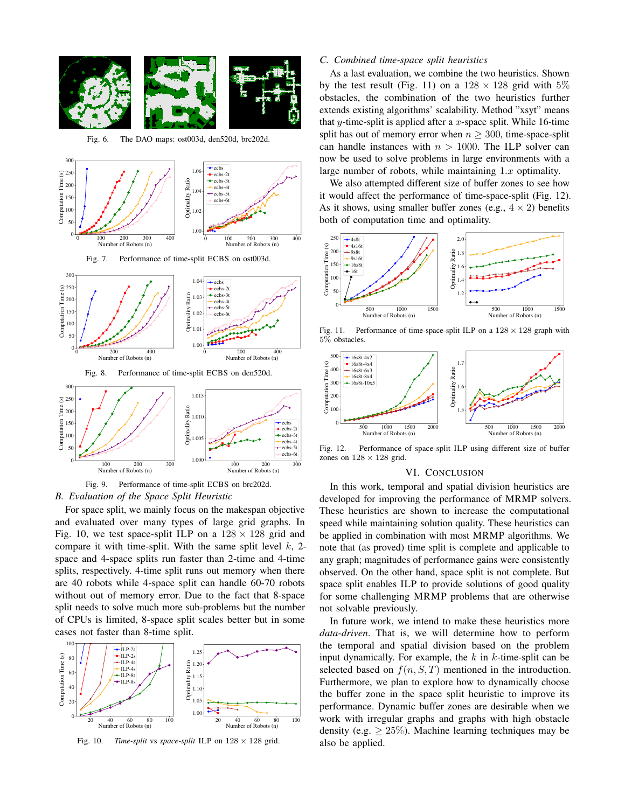

<span id="page-5-1"></span>Fig. 6. The DAO maps: ost003d, den520d, brc202d.

<span id="page-5-2"></span>



<span id="page-5-3"></span>

For space split, we mainly focus on the makespan objective and evaluated over many types of large grid graphs. In Fig. [10,](#page-5-4) we test space-split ILP on a  $128 \times 128$  grid and compare it with time-split. With the same split level  $k$ , 2space and 4-space splits run faster than 2-time and 4-time splits, respectively. 4-time split runs out memory when there are 40 robots while 4-space split can handle 60-70 robots without out of memory error. Due to the fact that 8-space split needs to solve much more sub-problems but the number of CPUs is limited, 8-space split scales better but in some cases not faster than 8-time split.



<span id="page-5-4"></span>Fig. 10. *Time-split* vs *space-split* ILP on  $128 \times 128$  grid.

# *C. Combined time-space split heuristics*

As a last evaluation, we combine the two heuristics. Shown by the test result (Fig. [11\)](#page-5-5) on a  $128 \times 128$  grid with  $5\%$ obstacles, the combination of the two heuristics further extends existing algorithms' scalability. Method "xsyt" means that y-time-split is applied after a x-space split. While 16-time split has out of memory error when  $n > 300$ , time-space-split can handle instances with  $n > 1000$ . The ILP solver can now be used to solve problems in large environments with a large number of robots, while maintaining  $1.x$  optimality.

We also attempted different size of buffer zones to see how it would affect the performance of time-space-split (Fig. [12\)](#page-5-6). As it shows, using smaller buffer zones (e.g.,  $4 \times 2$ ) benefits both of computation time and optimality.



<span id="page-5-5"></span>Fig. 11. Performance of time-space-split ILP on a  $128 \times 128$  graph with 5% obstacles.



<span id="page-5-6"></span>Fig. 12. Performance of space-split ILP using different size of buffer zones on  $128 \times 128$  grid.

## VI. CONCLUSION

<span id="page-5-0"></span>In this work, temporal and spatial division heuristics are developed for improving the performance of MRMP solvers. These heuristics are shown to increase the computational speed while maintaining solution quality. These heuristics can be applied in combination with most MRMP algorithms. We note that (as proved) time split is complete and applicable to any graph; magnitudes of performance gains were consistently observed. On the other hand, space split is not complete. But space split enables ILP to provide solutions of good quality for some challenging MRMP problems that are otherwise not solvable previously.

In future work, we intend to make these heuristics more *data-driven*. That is, we will determine how to perform the temporal and spatial division based on the problem input dynamically. For example, the  $k$  in  $k$ -time-split can be selected based on  $f(n, S, T)$  mentioned in the introduction. Furthermore, we plan to explore how to dynamically choose the buffer zone in the space split heuristic to improve its performance. Dynamic buffer zones are desirable when we work with irregular graphs and graphs with high obstacle density (e.g.  $\geq 25\%$ ). Machine learning techniques may be also be applied.